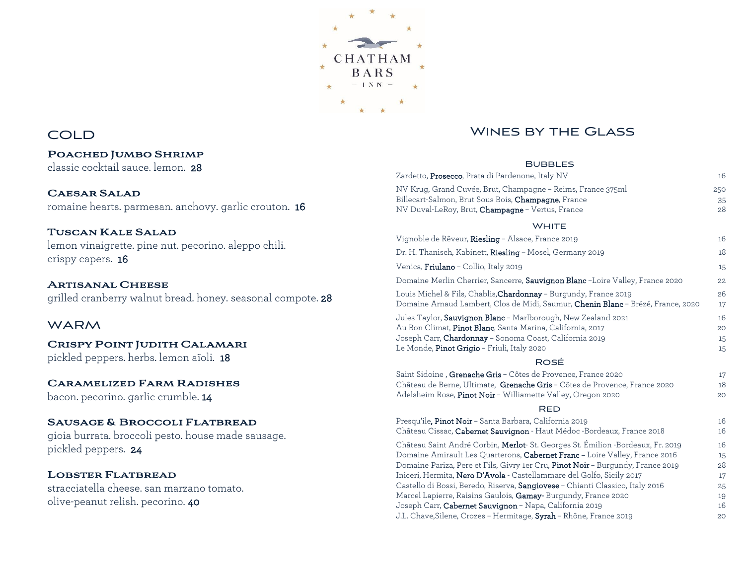

# COLD

### Poached Jumbo Shrimp

classic cocktail sauce. lemon. 28

Caesar Salad romaine hearts. parmesan. anchovy. garlic crouton. 16

### Tuscan Kale Salad

lemon vinaigrette. pine nut. pecorino. aleppo chili. crispy capers. 16

Artisanal Cheese grilled cranberry walnut bread. honey. seasonal compote. 28

## **WARM**

### Crispy Point Judith Calamari pickled peppers. herbs. lemon aïoli. 18

# Caramelized Farm Radishes

bacon. pecorino. garlic crumble. 14

### Sausage & Broccoli Flatbread

gioia burrata. broccoli pesto. house made sausage. pickled peppers. 24

### Lobster Flatbread

stracciatella cheese. san marzano tomato. olive-peanut relish. pecorino. 40

# Wines by the Glass

#### **BUBBLES**

| Zardetto, <b>Prosecco</b> , Prata di Pardenone, Italy NV                                                                                                                                                                                                                                                                                                                                                                                                                                                                                                                                                                                                        | 16                                           |
|-----------------------------------------------------------------------------------------------------------------------------------------------------------------------------------------------------------------------------------------------------------------------------------------------------------------------------------------------------------------------------------------------------------------------------------------------------------------------------------------------------------------------------------------------------------------------------------------------------------------------------------------------------------------|----------------------------------------------|
| NV Krug, Grand Cuvée, Brut, Champagne – Reims, France 375ml<br>Billecart-Salmon, Brut Sous Bois, <b>Champagne</b> , France<br>NV Duval-LeRoy, Brut, <b>Champagne</b> – Vertus, France                                                                                                                                                                                                                                                                                                                                                                                                                                                                           | 250<br>35<br>28                              |
| <b>WHITE</b>                                                                                                                                                                                                                                                                                                                                                                                                                                                                                                                                                                                                                                                    |                                              |
| Vignoble de Rêveur, Riesling – Alsace, France 2019                                                                                                                                                                                                                                                                                                                                                                                                                                                                                                                                                                                                              | 16                                           |
| Dr. H. Thanisch, Kabinett, <b>Riesling –</b> Mosel, Germany 2019                                                                                                                                                                                                                                                                                                                                                                                                                                                                                                                                                                                                | 18                                           |
| Venica, <b>Friulano</b> – Collio, Italy 2019                                                                                                                                                                                                                                                                                                                                                                                                                                                                                                                                                                                                                    | 15                                           |
| Domaine Merlin Cherrier, Sancerre, <b>Sauvignon Blanc</b> –Loire Valley, France 2020                                                                                                                                                                                                                                                                                                                                                                                                                                                                                                                                                                            | 22                                           |
| Louis Michel & Fils, Chablis, <b>Chardonnay</b> – Burgundy, France 2019<br>Domaine Arnaud Lambert, Clos de Midi, Saumur, <b>Chenin Blanc</b> – Brézé, France, 2020                                                                                                                                                                                                                                                                                                                                                                                                                                                                                              | 26<br>17                                     |
| Jules Taylor, <b>Sauvignon Blanc</b> – Marlborough, New Zealand 2021<br>Au Bon Climat, <b>Pinot Blanc</b> , Santa Marina, California, 2017<br>Joseph Carr, <b>Chardonnay</b> – Sonoma Coast, California 2019<br>Le Monde, <b>Pinot Grigio</b> – Friuli, Italy 2020                                                                                                                                                                                                                                                                                                                                                                                              | 16<br>20<br>15<br>15                         |
| ROSÉ                                                                                                                                                                                                                                                                                                                                                                                                                                                                                                                                                                                                                                                            |                                              |
| Saint Sidoine , <b>Grenache Gris</b> – Côtes de Provence, France 2020<br>Château de Berne, Ultimate, <b>Grenache Gris</b> – Côtes de Provence, France 2020<br>Adelsheim Rose, <b>Pinot Noir</b> – Williamette Valley, Oregon 2020                                                                                                                                                                                                                                                                                                                                                                                                                               | 17<br>18<br>20                               |
| <b>RED</b>                                                                                                                                                                                                                                                                                                                                                                                                                                                                                                                                                                                                                                                      |                                              |
| Presqu'ile <b>, Pinot Noir</b> – Santa Barbara, California 2019<br>Château Cissac, <b>Cabernet Sauvignon</b> - Haut Médoc -Bordeaux, France 2018                                                                                                                                                                                                                                                                                                                                                                                                                                                                                                                | 16<br>16                                     |
| Château Saint André Corbin, <b>Merlot</b> - St. Georges St. Émilion -Bordeaux, Fr. 2019<br>Domaine Amirault Les Quarterons, <b>Cabernet Franc –</b> Loire Valley, France 2016<br>Domaine Pariza, Pere et Fils, Givry 1er Cru, Pinot Noir – Burgundy, France 2019<br>Iniceri, Hermita, <b>Nero D'Avola</b> - Castellammare del Golfo, Sicily 2017<br>Castello di Bossi, Beredo, Riserva, <b>Sangiovese</b> – Chianti Classico, Italy 2016<br>Marcel Lapierre, Raisins Gaulois, <b>Gamay-</b> Burgundy, France 2020<br>Joseph Carr, <b>Cabernet Sauvignon</b> – Napa, California 2019<br>J.L. Chave,Silene, Crozes – Hermitage, <b>Syrah</b> – Rhône, France 2019 | 16<br>15<br>28<br>17<br>25<br>19<br>16<br>20 |
|                                                                                                                                                                                                                                                                                                                                                                                                                                                                                                                                                                                                                                                                 |                                              |